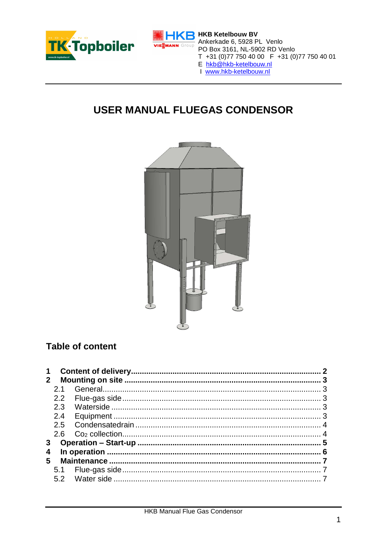



# **R** HKB Ketelbouw BV Ankerkade 6, 5928 PL Venlo Ankerkade o, 3926 FL Verlio<br>PO Box 3161, NL-5902 RD Venlo<br>T +31 (0)77 750 40 00 F +31 (0)77 750 40 01<br>E hkb@hkb-ketelbouw.nl<br>T www.hkb-ketelbouw.nl

- 
- 

# **USER MANUAL FLUEGAS CONDENSOR**



# Table of content

| $\mathbf 1$  |                             |  |  |
|--------------|-----------------------------|--|--|
| $\mathbf{2}$ |                             |  |  |
|              | 21                          |  |  |
|              |                             |  |  |
|              | 2.3                         |  |  |
|              | 2.4                         |  |  |
|              |                             |  |  |
|              | 2.6                         |  |  |
| $\mathbf{3}$ | <b>Operation – Start-up</b> |  |  |
| 4<br>5       |                             |  |  |
|              |                             |  |  |
|              |                             |  |  |
|              |                             |  |  |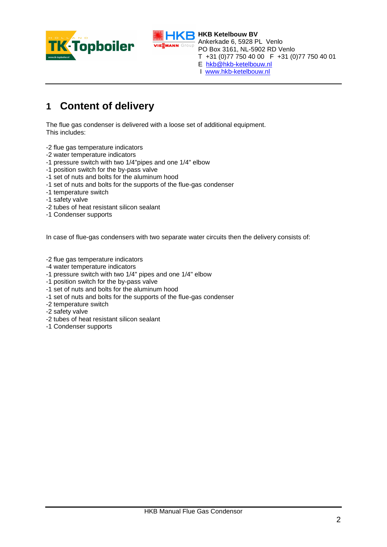



I [www.hkb-ketelbouw.nl](http://www.hkb-ketelbouw.nl/)

# **1 Content of delivery**

The flue gas condenser is delivered with a loose set of additional equipment. This includes:

- -2 flue gas temperature indicators
- -2 water temperature indicators
- -1 pressure switch with two 1/4"pipes and one 1/4" elbow
- -1 position switch for the by-pass valve
- -1 set of nuts and bolts for the aluminum hood
- -1 set of nuts and bolts for the supports of the flue-gas condenser
- -1 temperature switch
- -1 safety valve
- -2 tubes of heat resistant silicon sealant
- -1 Condenser supports

In case of flue-gas condensers with two separate water circuits then the delivery consists of:

- -2 flue gas temperature indicators
- -4 water temperature indicators
- -1 pressure switch with two 1/4" pipes and one 1/4" elbow
- -1 position switch for the by-pass valve
- -1 set of nuts and bolts for the aluminum hood
- -1 set of nuts and bolts for the supports of the flue-gas condenser
- -2 temperature switch
- -2 safety valve
- -2 tubes of heat resistant silicon sealant
- -1 Condenser supports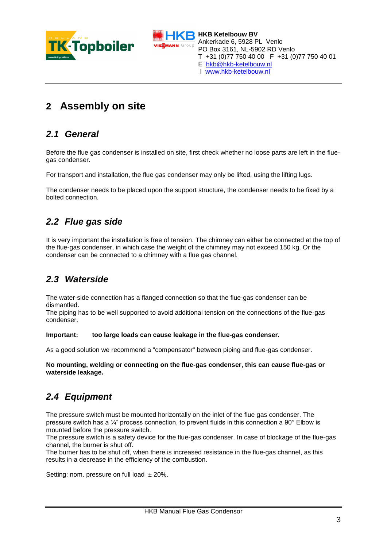



**HKB Ketelbouw BV** Ankerkade 6, 5928 PL Venlo PO Box 3161, NL-5902 RD Venlo T +31 (0)77 750 40 00 F +31 (0)77 750 40 01 E [hkb@hkb-ketelbouw.nl](mailto:hkb@hkb-ketelbouw.nl)

I [www.hkb-ketelbouw.nl](http://www.hkb-ketelbouw.nl/)

# **2 Assembly on site**

### *2.1 General*

Before the flue gas condenser is installed on site, first check whether no loose parts are left in the fluegas condenser.

For transport and installation, the flue gas condenser may only be lifted, using the lifting lugs.

The condenser needs to be placed upon the support structure, the condenser needs to be fixed by a bolted connection.

### *2.2 Flue gas side*

It is very important the installation is free of tension. The chimney can either be connected at the top of the flue-gas condenser, in which case the weight of the chimney may not exceed 150 kg. Or the condenser can be connected to a chimney with a flue gas channel.

#### *2.3 Waterside*

The water-side connection has a flanged connection so that the flue-gas condenser can be dismantled.

The piping has to be well supported to avoid additional tension on the connections of the flue-gas condenser.

#### **Important: too large loads can cause leakage in the flue-gas condenser.**

As a good solution we recommend a "compensator" between piping and flue-gas condenser.

**No mounting, welding or connecting on the flue-gas condenser, this can cause flue-gas or waterside leakage.**

#### *2.4 Equipment*

The pressure switch must be mounted horizontally on the inlet of the flue gas condenser. The pressure switch has a ¼" process connection, to prevent fluids in this connection a 90° Elbow is mounted before the pressure switch.

The pressure switch is a safety device for the flue-gas condenser. In case of blockage of the flue-gas channel, the burner is shut off.

The burner has to be shut off, when there is increased resistance in the flue-gas channel, as this results in a decrease in the efficiency of the combustion.

Setting: nom. pressure on full load  $\pm 20\%$ .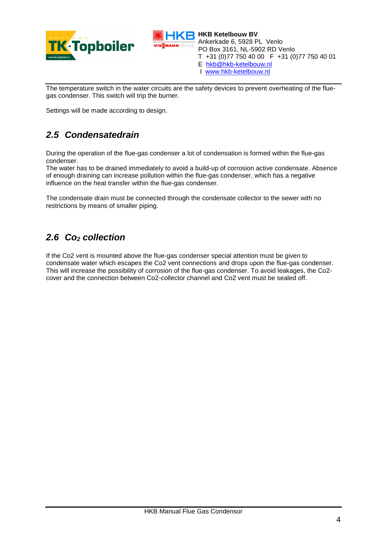

**VIESMANN** Group

**HKB Ketelbouw BV** Ankerkade 6, 5928 PL Venlo PO Box 3161, NL-5902 RD Venlo T +31 (0)77 750 40 00 F +31 (0)77 750 40 01

- E [hkb@hkb-ketelbouw.nl](mailto:hkb@hkb-ketelbouw.nl)
- I [www.hkb-ketelbouw.nl](http://www.hkb-ketelbouw.nl/)

The temperature switch in the water circuits are the safety devices to prevent overheating of the fluegas condenser. This switch will trip the burner.

Settings will be made according to design.

#### *2.5 Condensatedrain*

During the operation of the flue-gas condenser a lot of condensation is formed within the flue-gas condenser.

The water has to be drained immediately to avoid a build-up of corrosion active condensate. Absence of enough draining can increase pollution within the flue-gas condenser, which has a negative influence on the heat transfer within the flue-gas condenser.

The condensate drain must be connected through the condensate collector to the sewer with no restrictions by means of smaller piping.

#### *2.6 Co<sup>2</sup> collection*

If the Co2 vent is mounted above the flue-gas condenser special attention must be given to condensate water which escapes the Co2 vent connections and drops upon the flue-gas condenser. This will increase the possibility of corrosion of the flue-gas condenser. To avoid leakages, the Co2 cover and the connection between Co2-collector channel and Co2 vent must be sealed off.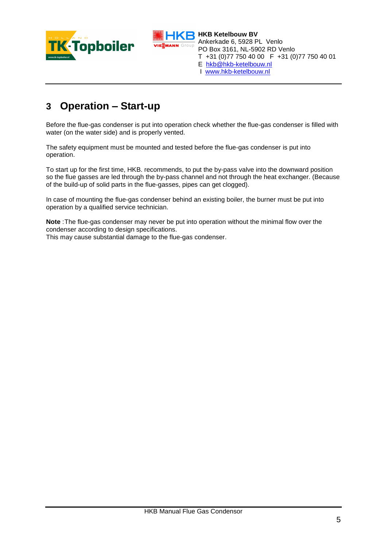



**HKB Ketelbouw BV** Ankerkade 6, 5928 PL Venlo PO Box 3161, NL-5902 RD Venlo T +31 (0)77 750 40 00 F +31 (0)77 750 40 01

- E [hkb@hkb-ketelbouw.nl](mailto:hkb@hkb-ketelbouw.nl)
- I [www.hkb-ketelbouw.nl](http://www.hkb-ketelbouw.nl/)

# **3 Operation – Start-up**

Before the flue-gas condenser is put into operation check whether the flue-gas condenser is filled with water (on the water side) and is properly vented.

The safety equipment must be mounted and tested before the flue-gas condenser is put into operation.

To start up for the first time, HKB. recommends, to put the by-pass valve into the downward position so the flue gasses are led through the by-pass channel and not through the heat exchanger. (Because of the build-up of solid parts in the flue-gasses, pipes can get clogged).

In case of mounting the flue-gas condenser behind an existing boiler, the burner must be put into operation by a qualified service technician.

**Note** :The flue-gas condenser may never be put into operation without the minimal flow over the condenser according to design specifications.

This may cause substantial damage to the flue-gas condenser.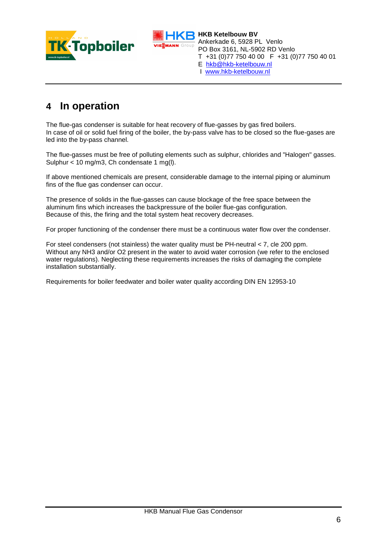



**HKB Ketelbouw BV** Ankerkade 6, 5928 PL Venlo PO Box 3161, NL-5902 RD Venlo T +31 (0)77 750 40 00 F +31 (0)77 750 40 01

- E [hkb@hkb-ketelbouw.nl](mailto:hkb@hkb-ketelbouw.nl)
- I [www.hkb-ketelbouw.nl](http://www.hkb-ketelbouw.nl/)

# **4 In operation**

The flue-gas condenser is suitable for heat recovery of flue-gasses by gas fired boilers. In case of oil or solid fuel firing of the boiler, the by-pass valve has to be closed so the flue-gases are led into the by-pass channel.

The flue-gasses must be free of polluting elements such as sulphur, chlorides and "Halogen" gasses. Sulphur < 10 mg/m3, Ch condensate 1 mg(l).

If above mentioned chemicals are present, considerable damage to the internal piping or aluminum fins of the flue gas condenser can occur.

The presence of solids in the flue-gasses can cause blockage of the free space between the aluminum fins which increases the backpressure of the boiler flue-gas configuration. Because of this, the firing and the total system heat recovery decreases.

For proper functioning of the condenser there must be a continuous water flow over the condenser.

For steel condensers (not stainless) the water quality must be PH-neutral < 7, cle 200 ppm. Without any NH3 and/or O2 present in the water to avoid water corrosion (we refer to the enclosed water regulations). Neglecting these requirements increases the risks of damaging the complete installation substantially.

Requirements for boiler feedwater and boiler water quality according DIN EN 12953-10